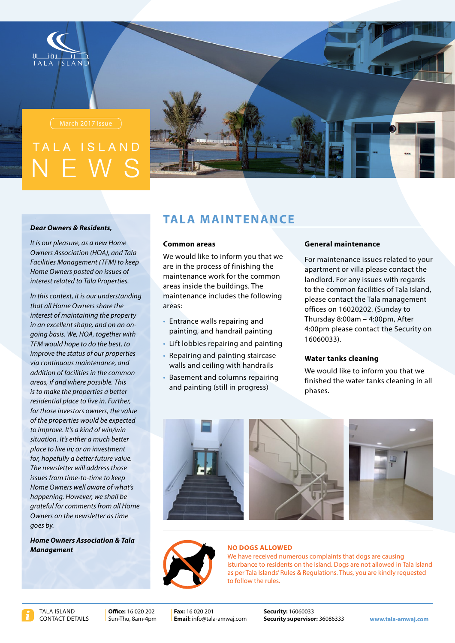

# SIAND



#### **Dear Owners & Residents,**

*It is our pleasure, as a new Home* **Owners Association (HOA), and Tala Facilities Management (TFM) to keep Home Owners posted on issues of** *interest related to Tala Properties.* 

*In this context, it is our understanding that all Home Owners share the interest of maintaining the property* aoing basis, We, HOA, together with *in an excellent shape, and on an on-TFM* would hope to do the best, to *improve the status of our properties via continuous maintenance, and*  $addition$  of facilities in the common *areas, if and where possible. This is to make the properties a better residential place to live in. Further,* for those investors owners, the value *expected of the properties would be expected* to improve. It's a kind of win/win situation. It's either a much better *place to live in: or an investment for, hopefully a better future value.* **The newsletter will address those** *issues from time-to-time to keep Home Owners well aware of what's happening. However, we shall be arateful for comments from all Home* **Owners on the newsletter as time** *goes* by.

**Home Owners Association & Tala** *Management*

## **TALA MAINTENANCE**

#### **Common** areas

We would like to inform you that we are in the process of finishing the maintenance work for the common areas inside the buildings. The maintenance includes the following :areas

- Entrance walls repairing and painting, and handrail painting
- Lift lobbies repairing and painting
- Repairing and painting staircase walls and ceiling with handrails
- Basement and columns repairing and painting (still in progress)

#### **maintenance General**

For maintenance issues related to your apartment or villa please contact the landlord. For any issues with regards to the common facilities of Tala Island. please contact the Tala management offices on 16020202. (Sunday to Thursday  $8:00$  am  $-$  4:00 pm, After 4:00pm please contact the Security on 16060033).

#### **Water tanks cleaning**

We would like to inform you that we finished the water tanks cleaning in all .phases





#### **NO DOGS ALLOWED**

We have received numerous complaints that dogs are causing isturbance to residents on the island. Dogs are not allowed in Tala Island as per Tala Islands' Rules & Regulations. Thus, you are kindly requested to follow the rules.

Office: 16.020.202

**Fax:** 16.020.201 Email: info@tala-amwaj.com

Sun-Thu, 8am-4pm **| Email:** info@tala-amwaj.com | **Security supervisor:** 36086333 www.tala-amwaj.com 16060033 **:Security**